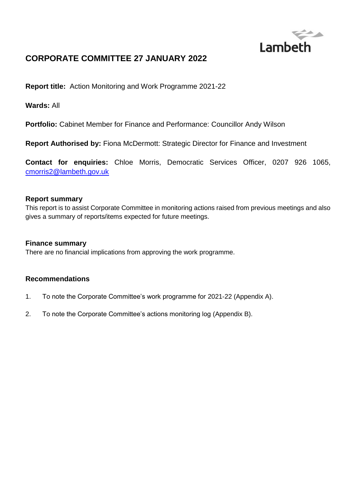

# **CORPORATE COMMITTEE 27 JANUARY 2022**

**Report title:** Action Monitoring and Work Programme 2021-22

**Wards:** All

**Portfolio:** Cabinet Member for Finance and Performance: Councillor Andy Wilson

**Report Authorised by:** Fiona McDermott: Strategic Director for Finance and Investment

**Contact for enquiries:** Chloe Morris, Democratic Services Officer, 0207 926 1065, [cmorris2@lambeth.gov.uk](mailto:cmorris2@lambeth.gov.uk)

#### **Report summary**

This report is to assist Corporate Committee in monitoring actions raised from previous meetings and also gives a summary of reports/items expected for future meetings.

#### **Finance summary**

There are no financial implications from approving the work programme.

#### **Recommendations**

- 1. To note the Corporate Committee's work programme for 2021-22 (Appendix A).
- 2. To note the Corporate Committee's actions monitoring log (Appendix B).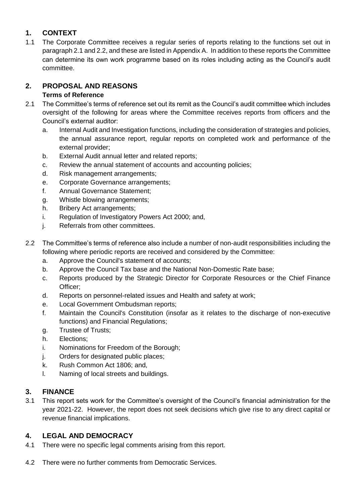## **1. CONTEXT**

1.1 The Corporate Committee receives a regular series of reports relating to the functions set out in paragraph 2.1 and 2.2, and these are listed in Appendix A. In addition to these reports the Committee can determine its own work programme based on its roles including acting as the Council's audit committee.

# **2. PROPOSAL AND REASONS**

## **Terms of Reference**

- 2.1 The Committee's terms of reference set out its remit as the Council's audit committee which includes oversight of the following for areas where the Committee receives reports from officers and the Council's external auditor:
	- a. Internal Audit and Investigation functions, including the consideration of strategies and policies, the annual assurance report, regular reports on completed work and performance of the external provider;
	- b. External Audit annual letter and related reports;
	- c. Review the annual statement of accounts and accounting policies;
	- d. Risk management arrangements;
	- e. Corporate Governance arrangements;
	- f. Annual Governance Statement;
	- g. Whistle blowing arrangements;
	- h. Bribery Act arrangements;
	- i. Regulation of Investigatory Powers Act 2000; and,
	- j. Referrals from other committees.
- 2.2 The Committee's terms of reference also include a number of non-audit responsibilities including the following where periodic reports are received and considered by the Committee:
	- a. Approve the Council's statement of accounts;
	- b. Approve the Council Tax base and the National Non-Domestic Rate base;
	- c. Reports produced by the Strategic Director for Corporate Resources or the Chief Finance Officer;
	- d. Reports on personnel-related issues and Health and safety at work;
	- e. Local Government Ombudsman reports;
	- f. Maintain the Council's Constitution (insofar as it relates to the discharge of non-executive functions) and Financial Regulations;
	- g. Trustee of Trusts;
	- h. Elections;
	- i. Nominations for Freedom of the Borough;
	- j. Orders for designated public places;
	- k. Rush Common Act 1806; and,
	- l. Naming of local streets and buildings.

## **3. FINANCE**

3.1 This report sets work for the Committee's oversight of the Council's financial administration for the year 2021-22. However, the report does not seek decisions which give rise to any direct capital or revenue financial implications.

## **4. LEGAL AND DEMOCRACY**

- 4.1 There were no specific legal comments arising from this report.
- 4.2 There were no further comments from Democratic Services.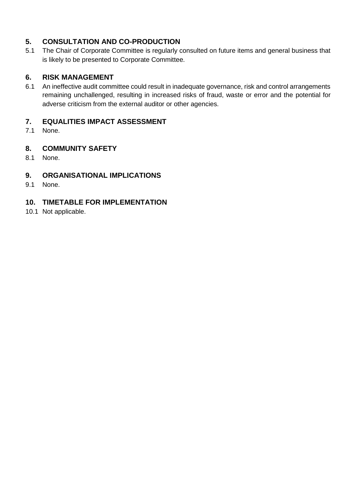## **5. CONSULTATION AND CO-PRODUCTION**

5.1 The Chair of Corporate Committee is regularly consulted on future items and general business that is likely to be presented to Corporate Committee.

### **6. RISK MANAGEMENT**

6.1 An ineffective audit committee could result in inadequate governance, risk and control arrangements remaining unchallenged, resulting in increased risks of fraud, waste or error and the potential for adverse criticism from the external auditor or other agencies.

## **7. EQUALITIES IMPACT ASSESSMENT**

7.1 None.

### **8. COMMUNITY SAFETY**

8.1 None.

## **9. ORGANISATIONAL IMPLICATIONS**

9.1 None.

## **10. TIMETABLE FOR IMPLEMENTATION**

10.1 Not applicable.